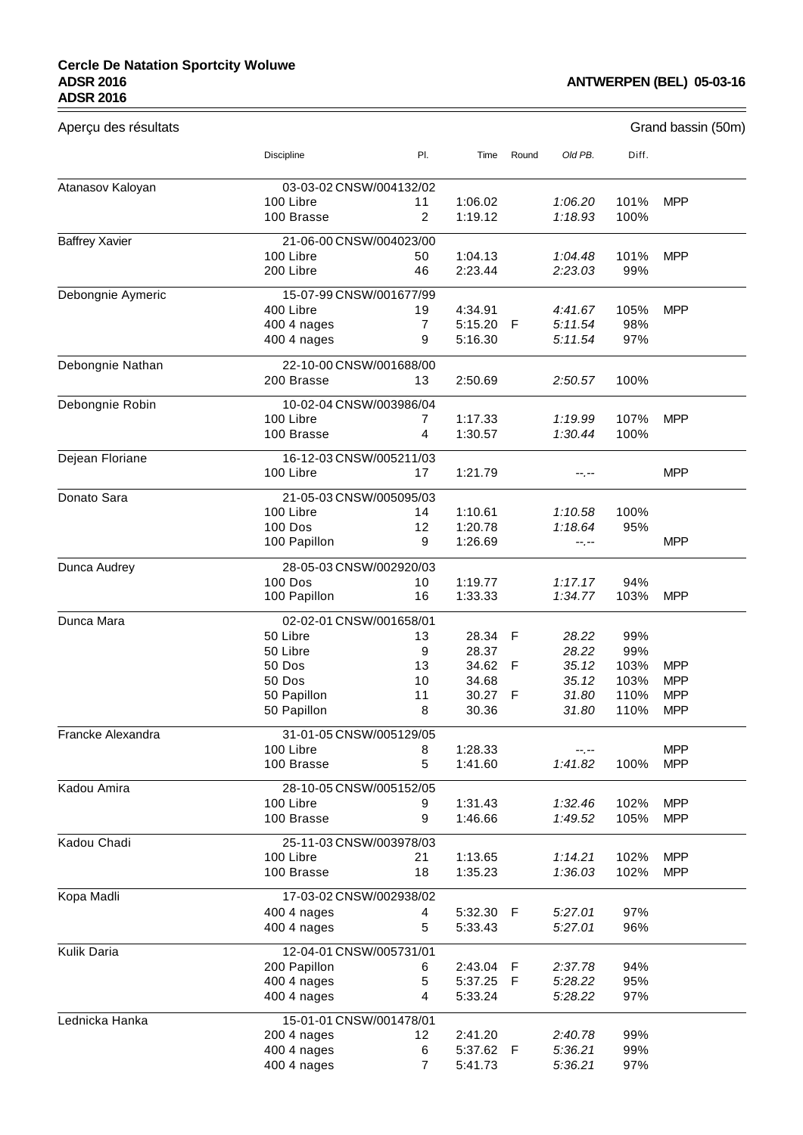## **Cercle De Natation Sportcity Woluwe ADSR 2016 ADSR 2016**

## **ANTWERPEN (BEL) 05-03-16**

| Aperçu des résultats  |                            |         |                |       |                | Grand bassin (50m) |                          |  |  |
|-----------------------|----------------------------|---------|----------------|-------|----------------|--------------------|--------------------------|--|--|
|                       | Discipline                 | PI.     | Time           | Round | Old PB.        | Diff.              |                          |  |  |
| Atanasov Kaloyan      | 03-03-02 CNSW/004132/02    |         |                |       |                |                    |                          |  |  |
|                       | 100 Libre                  | 11      | 1:06.02        |       | 1:06.20        | 101%               | <b>MPP</b>               |  |  |
|                       | 100 Brasse                 | 2       | 1:19.12        |       | 1:18.93        | 100%               |                          |  |  |
| <b>Baffrey Xavier</b> | 21-06-00 CNSW/004023/00    |         |                |       |                |                    |                          |  |  |
|                       | 100 Libre                  | 50      | 1:04.13        |       | 1:04.48        | 101%               | <b>MPP</b>               |  |  |
|                       | 200 Libre                  | 46      | 2:23.44        |       | 2:23.03        | 99%                |                          |  |  |
| Debongnie Aymeric     | 15-07-99 CNSW/001677/99    |         |                |       |                |                    |                          |  |  |
|                       | 400 Libre                  | 19      | 4:34.91        |       | 4:41.67        | 105%               | <b>MPP</b>               |  |  |
|                       | 400 4 nages                | 7       | 5:15.20        | -F    | 5:11.54        | 98%                |                          |  |  |
|                       | 400 4 nages                | 9       | 5:16.30        |       | 5:11.54        | 97%                |                          |  |  |
| Debongnie Nathan      | 22-10-00 CNSW/001688/00    |         |                |       |                |                    |                          |  |  |
|                       | 200 Brasse                 | 13      | 2:50.69        |       | 2:50.57        | 100%               |                          |  |  |
| Debongnie Robin       | 10-02-04 CNSW/003986/04    |         |                |       |                |                    |                          |  |  |
|                       | 100 Libre                  | 7       | 1:17.33        |       | 1:19.99        | 107%               | <b>MPP</b>               |  |  |
|                       | 100 Brasse                 | 4       | 1:30.57        |       | 1:30.44        | 100%               |                          |  |  |
| Dejean Floriane       | 16-12-03 CNSW/005211/03    |         |                |       |                |                    |                          |  |  |
|                       | 100 Libre                  | 17      | 1:21.79        |       | --.--          |                    | <b>MPP</b>               |  |  |
| Donato Sara           | 21-05-03 CNSW/005095/03    |         |                |       |                |                    |                          |  |  |
|                       | 100 Libre                  | 14      | 1:10.61        |       | 1:10.58        | 100%               |                          |  |  |
|                       | <b>100 Dos</b>             | 12      | 1:20.78        |       | 1:18.64        | 95%                |                          |  |  |
|                       | 100 Papillon               | 9       | 1:26.69        |       | $-1, -1$       |                    | <b>MPP</b>               |  |  |
| Dunca Audrey          | 28-05-03 CNSW/002920/03    |         |                |       |                |                    |                          |  |  |
|                       | <b>100 Dos</b>             | 10      | 1:19.77        |       | 1:17.17        | 94%                |                          |  |  |
|                       | 100 Papillon               | 16      | 1:33.33        |       | 1:34.77        | 103%               | <b>MPP</b>               |  |  |
| Dunca Mara            | 02-02-01 CNSW/001658/01    |         |                |       |                |                    |                          |  |  |
|                       | 50 Libre                   | 13      | 28.34 F        |       | 28.22          | 99%                |                          |  |  |
|                       | 50 Libre                   | 9       | 28.37          |       | 28.22          | 99%                |                          |  |  |
|                       | 50 Dos                     | 13      | 34.62          | F     | 35.12          | 103%               | <b>MPP</b>               |  |  |
|                       | 50 Dos                     | 10      | 34.68          |       | 35.12          | 103%               | <b>MPP</b>               |  |  |
|                       | 50 Papillon<br>50 Papillon | 11<br>8 | 30.27<br>30.36 | - F   | 31.80<br>31.80 | 110%<br>110%       | <b>MPP</b><br><b>MPP</b> |  |  |
| Francke Alexandra     | 31-01-05 CNSW/005129/05    |         |                |       |                |                    |                          |  |  |
|                       | 100 Libre                  | 8       | 1:28.33        |       | --.--          |                    | <b>MPP</b>               |  |  |
|                       | 100 Brasse                 | 5       | 1:41.60        |       | 1:41.82        | 100%               | <b>MPP</b>               |  |  |
| Kadou Amira           | 28-10-05 CNSW/005152/05    |         |                |       |                |                    |                          |  |  |
|                       | 100 Libre                  | 9       | 1:31.43        |       | 1:32.46        | 102%               | <b>MPP</b>               |  |  |
|                       | 100 Brasse                 | 9       | 1:46.66        |       | 1:49.52        | 105%               | <b>MPP</b>               |  |  |
| Kadou Chadi           | 25-11-03 CNSW/003978/03    |         |                |       |                |                    |                          |  |  |
|                       | 100 Libre                  | 21      | 1:13.65        |       | 1:14.21        | 102%               | <b>MPP</b>               |  |  |
|                       | 100 Brasse                 | 18      | 1:35.23        |       | 1:36.03        | 102%               | <b>MPP</b>               |  |  |
| Kopa Madli            | 17-03-02 CNSW/002938/02    |         |                |       |                |                    |                          |  |  |
|                       | 400 4 nages                | 4       | 5:32.30        | - F   | 5:27.01        | 97%                |                          |  |  |
|                       | 400 4 nages                | 5       | 5:33.43        |       | 5:27.01        | 96%                |                          |  |  |
| Kulik Daria           | 12-04-01 CNSW/005731/01    |         |                |       |                |                    |                          |  |  |
|                       | 200 Papillon               | 6       | 2:43.04        | F     | 2:37.78        | 94%                |                          |  |  |
|                       | 400 4 nages                | 5       | 5:37.25        | F     | 5:28.22        | 95%                |                          |  |  |
|                       | 400 4 nages                | 4       | 5:33.24        |       | 5:28.22        | 97%                |                          |  |  |
| Lednicka Hanka        | 15-01-01 CNSW/001478/01    |         |                |       |                |                    |                          |  |  |
|                       | 200 4 nages                | 12      | 2:41.20        |       | 2:40.78        | 99%                |                          |  |  |
|                       | 400 4 nages                | 6       | 5:37.62 F      |       | 5:36.21        | 99%                |                          |  |  |
|                       | 400 4 nages                | 7       | 5:41.73        |       | 5:36.21        | 97%                |                          |  |  |